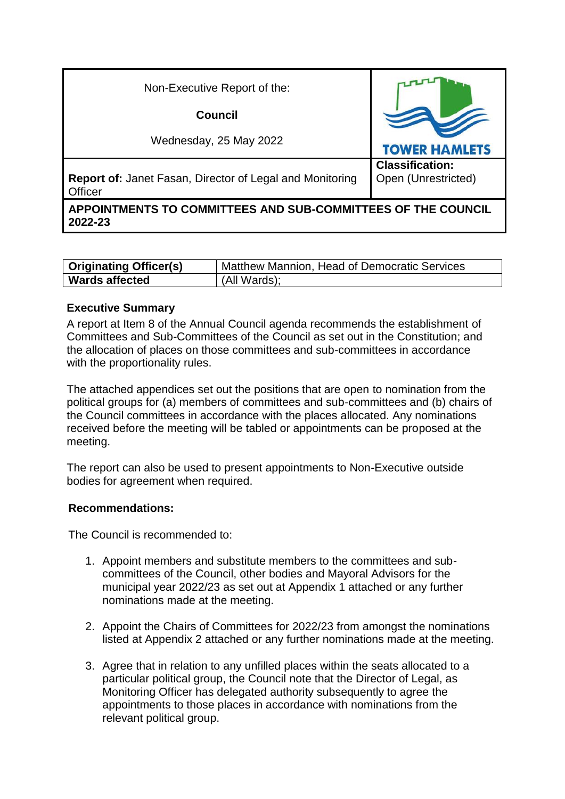| Non-Executive Report of the:                                                      |                                               |
|-----------------------------------------------------------------------------------|-----------------------------------------------|
| Council                                                                           |                                               |
| Wednesday, 25 May 2022                                                            | <b>TOWER HAMLETS</b>                          |
| <b>Report of: Janet Fasan, Director of Legal and Monitoring</b><br><b>Officer</b> | <b>Classification:</b><br>Open (Unrestricted) |
| APPOINTMENTS TO COMMITTEES AND SUB-COMMITTEES OF THE COUNCIL<br>2022-23           |                                               |

| <b>Originating Officer(s)</b> | Matthew Mannion, Head of Democratic Services |
|-------------------------------|----------------------------------------------|
| <b>Wards affected</b>         | (All Wards);                                 |

#### **Executive Summary**

A report at Item 8 of the Annual Council agenda recommends the establishment of Committees and Sub-Committees of the Council as set out in the Constitution; and the allocation of places on those committees and sub-committees in accordance with the proportionality rules.

The attached appendices set out the positions that are open to nomination from the political groups for (a) members of committees and sub-committees and (b) chairs of the Council committees in accordance with the places allocated. Any nominations received before the meeting will be tabled or appointments can be proposed at the meeting.

The report can also be used to present appointments to Non-Executive outside bodies for agreement when required.

#### **Recommendations:**

The Council is recommended to:

- 1. Appoint members and substitute members to the committees and subcommittees of the Council, other bodies and Mayoral Advisors for the municipal year 2022/23 as set out at Appendix 1 attached or any further nominations made at the meeting.
- 2. Appoint the Chairs of Committees for 2022/23 from amongst the nominations listed at Appendix 2 attached or any further nominations made at the meeting.
- 3. Agree that in relation to any unfilled places within the seats allocated to a particular political group, the Council note that the Director of Legal, as Monitoring Officer has delegated authority subsequently to agree the appointments to those places in accordance with nominations from the relevant political group.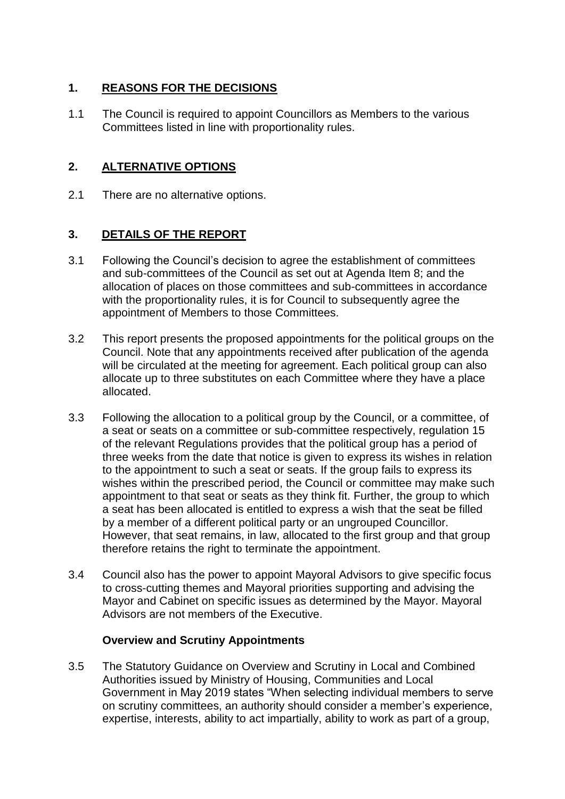# **1. REASONS FOR THE DECISIONS**

1.1 The Council is required to appoint Councillors as Members to the various Committees listed in line with proportionality rules.

# **2. ALTERNATIVE OPTIONS**

2.1 There are no alternative options.

## **3. DETAILS OF THE REPORT**

- 3.1 Following the Council's decision to agree the establishment of committees and sub-committees of the Council as set out at Agenda Item 8; and the allocation of places on those committees and sub-committees in accordance with the proportionality rules, it is for Council to subsequently agree the appointment of Members to those Committees.
- 3.2 This report presents the proposed appointments for the political groups on the Council. Note that any appointments received after publication of the agenda will be circulated at the meeting for agreement. Each political group can also allocate up to three substitutes on each Committee where they have a place allocated.
- 3.3 Following the allocation to a political group by the Council, or a committee, of a seat or seats on a committee or sub-committee respectively, regulation 15 of the relevant Regulations provides that the political group has a period of three weeks from the date that notice is given to express its wishes in relation to the appointment to such a seat or seats. If the group fails to express its wishes within the prescribed period, the Council or committee may make such appointment to that seat or seats as they think fit. Further, the group to which a seat has been allocated is entitled to express a wish that the seat be filled by a member of a different political party or an ungrouped Councillor. However, that seat remains, in law, allocated to the first group and that group therefore retains the right to terminate the appointment.
- 3.4 Council also has the power to appoint Mayoral Advisors to give specific focus to cross-cutting themes and Mayoral priorities supporting and advising the Mayor and Cabinet on specific issues as determined by the Mayor. Mayoral Advisors are not members of the Executive.

## **Overview and Scrutiny Appointments**

3.5 The Statutory Guidance on Overview and Scrutiny in Local and Combined Authorities issued by Ministry of Housing, Communities and Local Government in May 2019 states "When selecting individual members to serve on scrutiny committees, an authority should consider a member's experience, expertise, interests, ability to act impartially, ability to work as part of a group,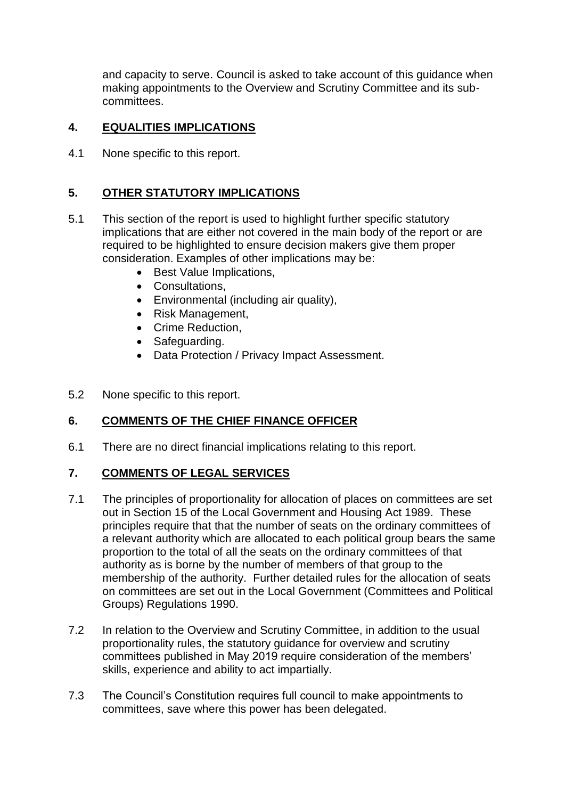and capacity to serve. Council is asked to take account of this guidance when making appointments to the Overview and Scrutiny Committee and its subcommittees.

# **4. EQUALITIES IMPLICATIONS**

4.1 None specific to this report.

# **5. OTHER STATUTORY IMPLICATIONS**

- 5.1 This section of the report is used to highlight further specific statutory implications that are either not covered in the main body of the report or are required to be highlighted to ensure decision makers give them proper consideration. Examples of other implications may be:
	- Best Value Implications,
	- Consultations,
	- Environmental (including air quality),
	- Risk Management.
	- Crime Reduction.
	- Safeguarding.
	- Data Protection / Privacy Impact Assessment.
- 5.2 None specific to this report.

## **6. COMMENTS OF THE CHIEF FINANCE OFFICER**

6.1 There are no direct financial implications relating to this report.

## **7. COMMENTS OF LEGAL SERVICES**

- 7.1 The principles of proportionality for allocation of places on committees are set out in Section 15 of the Local Government and Housing Act 1989. These principles require that that the number of seats on the ordinary committees of a relevant authority which are allocated to each political group bears the same proportion to the total of all the seats on the ordinary committees of that authority as is borne by the number of members of that group to the membership of the authority. Further detailed rules for the allocation of seats on committees are set out in the Local Government (Committees and Political Groups) Regulations 1990.
- 7.2 In relation to the Overview and Scrutiny Committee, in addition to the usual proportionality rules, the statutory guidance for overview and scrutiny committees published in May 2019 require consideration of the members' skills, experience and ability to act impartially.
- 7.3 The Council's Constitution requires full council to make appointments to committees, save where this power has been delegated.